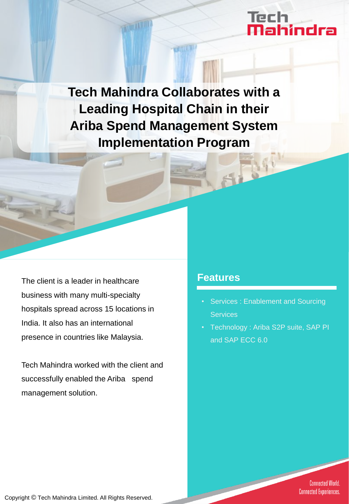# Tech<br>**Mahindra**

**Tech Mahindra Collaborates with a Leading Hospital Chain in their Ariba Spend Management System Implementation Program**

**COLLEGE** 

The client is a leader in healthcare **Features** business with many multi-specialty hospitals spread across 15 locations in India. It also has an international presence in countries like Malaysia.

Tech Mahindra worked with the client and successfully enabled the Ariba spend management solution.

- Services : Enablement and Sourcing **Services**
- Technology : Ariba S2P suite, SAP PI and SAP ECC 6.0

**Connected World. Connected Experiences.** 

Copyright © Tech Mahindra Limited. All Rights Reserved.